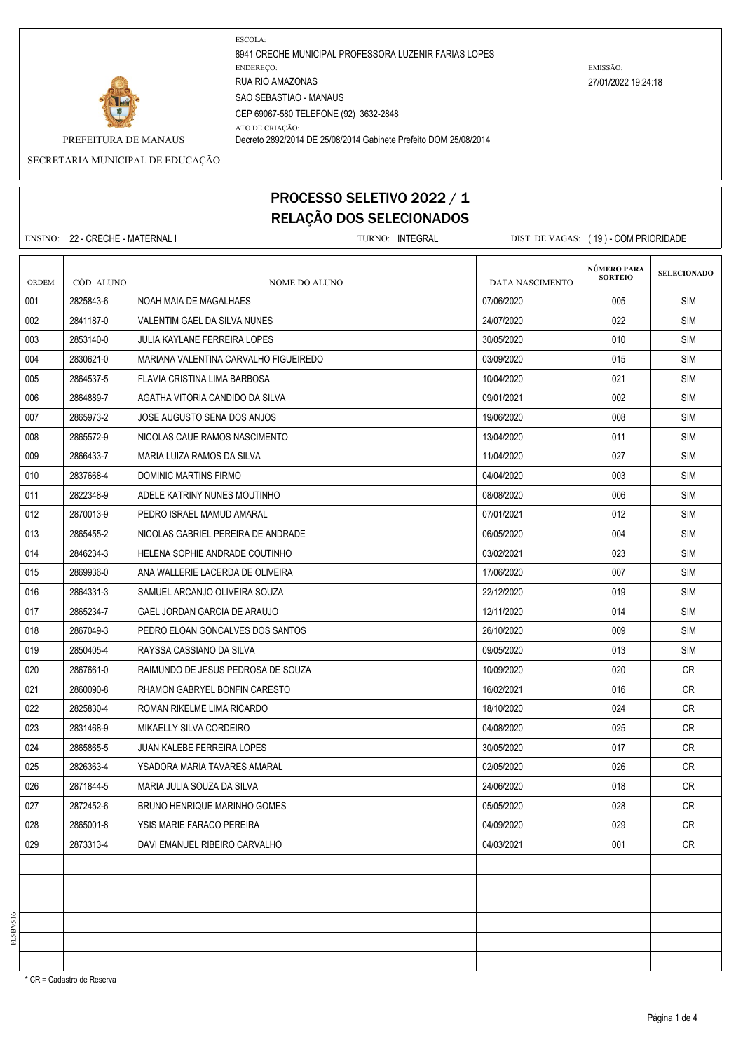

ESCOLA: 8941 CRECHE MUNICIPAL PROFESSORA LUZENIR FARIAS LOPES ENDEREÇO: EMISSÃO: RUA RIO AMAZONAS 27/01/2022 19:24:18 SAO SEBASTIAO - MANAUS CEP 69067-580 TELEFONE (92) 3632-2848

ATO DE CRIAÇÃO:

PREFEITURA DE MANAUS Decreto 2892/2014 DE 25/08/2014 Gabinete Prefeito DOM 25/08/2014

SECRETARIA MUNICIPAL DE EDUCAÇÃO

## PROCESSO SELETIVO 2022 / 1 RELAÇÃO DOS SELECIONADOS

ENSINO: 22 - CRECHE - MATERNAL I TURNO: INTEGRAL DIST. DE VAGAS: ( 19 ) - COM PRIORIDADE **SELECIONADO** ORDEM CÓD. ALUNO **NOME DO ALUNO** NOME DO ALUNO DATA NASCIMENTO 001 2825843-6 NOAH MAIA DE MAGALHAES 07/06/2020 005 SIM 002 2841187-0 VALENTIM GAEL DA SILVA NUNES 24/07/2020 022 SIM 003 2853140-0 JULIA KAYLANE FERREIRA LOPES 30/05/2020 010 SIM 004 2830621-0 MARIANA VALENTINA CARVALHO FIGUEIREDO 03/09/2020 015 SIM 005 2864537-5 FLAVIA CRISTINA LIMA BARBOSA 1000 10004/2020 10/04/2020 921 SIM 006 2864889-7 AGATHA VITORIA CANDIDO DA SILVA 09/01/2021 002 SIM 007 2865973-2 JOSE AUGUSTO SENA DOS ANJOS 19/06/2020 008 SIM 008 2865572-9 NICOLAS CAUE RAMOS NASCIMENTO 13/04/2020 13/04/2020 13/04/2020 13/04/2020 009 2866433-7 | MARIA LUIZA RAMOS DA SILVA 11/04/2020 | 11/04/2020 | 11/04/2020 | 11/04/2020 | SIM 010 2837668-4 DOMINIC MARTINS FIRMO 04/04/2020 003 SIM 011 2822348-9 ADELE KATRINY NUNES MOUTINHO 08/08/2020 SIM 012 2870013-9 PEDRO ISRAEL MAMUD AMARAL NAMEL NAMEL NAMEL SIMPLE RESERVED A SIMPLE SIMPLE SIMPLE SIMPLE SIMPLE 013 2865455-2 NICOLAS GABRIEL PEREIRA DE ANDRADE 06/05/2020 004 SIM 014 2846234-3 HELENA SOPHIE ANDRADE COUTINHO 3000 03/02/2021 2023 SIM 015 2869936-0 ANA WALLERIE LACERDA DE OLIVEIRA 17/06/2020 | 007 SIM 016 2864331-3 SAMUEL ARCANJO OLIVEIRA SOUZA 22/12/2020 9:00 22/12/2020 9:00 SIM 017 2865234-7 GAEL JORDAN GARCIA DE ARAUJO 1200 12/11/2020 12/11/2020 12/11/2020 12/11/2020 12/11/20 018 2667049-3 PEDRO ELOAN GONCALVES DOS SANTOS 26/10/2020 9 26/10/2020 9 009 SIM 019 2850405-4 RAYSSA CASSIANO DA SILVA 09/05/2020 013 SIM 020 2867661-0 RAIMUNDO DE JESUS PEDROSA DE SOUZA 10/09/2020 020 CR 021 2860090-8 RHAMON GABRYEL BONFIN CARESTO NATURAL 2002/2021 2006 CR 022 2825830-4 ROMAN RIKELME LIMA RICARDO 18/10/2020 024 CR 023 2831468-9 MIKAELLY SILVA CORDEIRO 04/08/2020 CR 024 2865865-5 JUAN KALEBE FERREIRA LOPES 30/05/2020 017 CR 025 2826363-4 YSADORA MARIA TAVARES AMARAL 02/05/2020 026 CR 026 2871844-5 MARIA JULIA SOUZA DA SILVA 24/06/2020 | 018 CR 027 2872452-6 BRUNO HENRIQUE MARINHO GOMES 05/05/2020 028 CR 028 2865001-8 YSIS MARIE FARACO PEREIRA 04/09/2020 029 CR 029 2873313-4 DAVI EMANUEL RIBEIRO CARVALHO 04/03/2021 001 CR **NÚMERO PARA SORTEIO**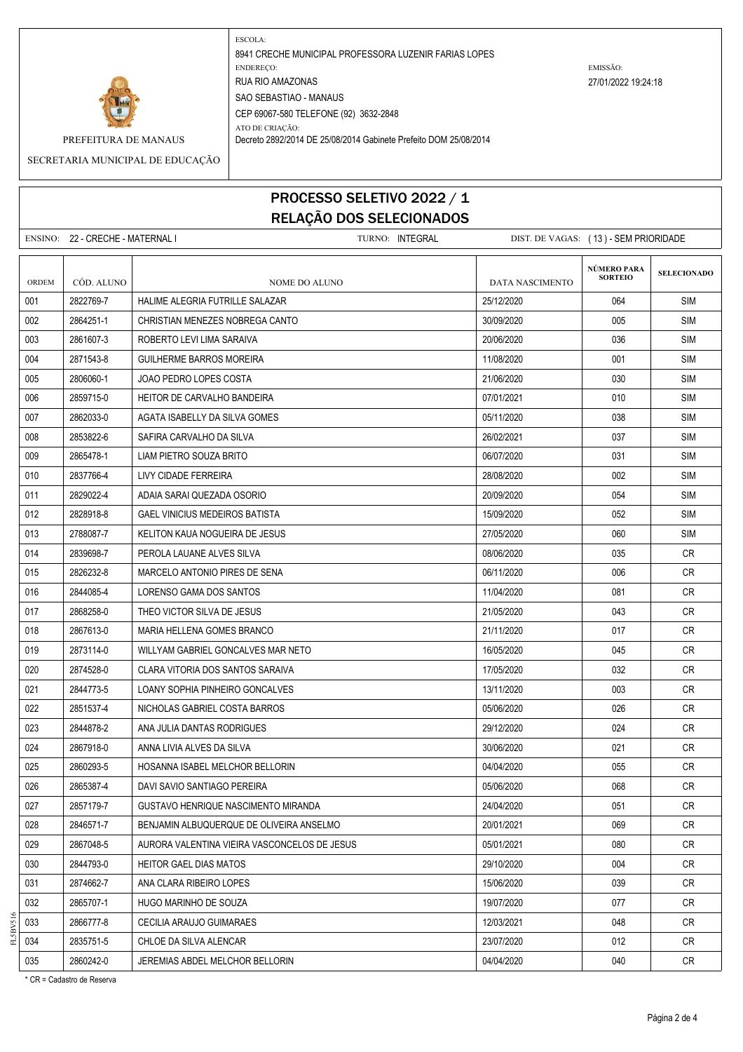

ESCOLA: 8941 CRECHE MUNICIPAL PROFESSORA LUZENIR FARIAS LOPES ENDEREÇO: EMISSÃO: RUA RIO AMAZONAS 27/01/2022 19:24:18 SAO SEBASTIAO - MANAUS CEP 69067-580 TELEFONE (92) 3632-2848 ATO DE CRIAÇÃO:

PREFEITURA DE MANAUS Decreto 2892/2014 DE 25/08/2014 Gabinete Prefeito DOM 25/08/2014

SECRETARIA MUNICIPAL DE EDUCAÇÃO

## PROCESSO SELETIVO 2022 / 1 RELAÇÃO DOS SELECIONADOS

|       | ENSINO: 22 - CRECHE - MATERNAL I |                                              | TURNO: INTEGRAL |                 | DIST. DE VAGAS: (13) - SEM PRIORIDADE |                    |
|-------|----------------------------------|----------------------------------------------|-----------------|-----------------|---------------------------------------|--------------------|
| ORDEM | CÓD. ALUNO                       | NOME DO ALUNO                                |                 | DATA NASCIMENTO | NÚMERO PARA<br><b>SORTEIO</b>         | <b>SELECIONADO</b> |
| 001   | 2822769-7                        | HALIME ALEGRIA FUTRILLE SALAZAR              |                 | 25/12/2020      | 064                                   | <b>SIM</b>         |
| 002   | 2864251-1                        | CHRISTIAN MENEZES NOBREGA CANTO              |                 | 30/09/2020      | 005                                   | <b>SIM</b>         |
| 003   | 2861607-3                        | ROBERTO LEVI LIMA SARAIVA                    |                 | 20/06/2020      | 036                                   | <b>SIM</b>         |
| 004   | 2871543-8                        | <b>GUILHERME BARROS MOREIRA</b>              |                 | 11/08/2020      | 001                                   | <b>SIM</b>         |
| 005   | 2806060-1                        | JOAO PEDRO LOPES COSTA                       |                 | 21/06/2020      | 030                                   | <b>SIM</b>         |
| 006   | 2859715-0                        | <b>HEITOR DE CARVALHO BANDEIRA</b>           |                 | 07/01/2021      | 010                                   | <b>SIM</b>         |
| 007   | 2862033-0                        | AGATA ISABELLY DA SILVA GOMES                |                 | 05/11/2020      | 038                                   | <b>SIM</b>         |
| 008   | 2853822-6                        | SAFIRA CARVALHO DA SILVA                     |                 | 26/02/2021      | 037                                   | <b>SIM</b>         |
| 009   | 2865478-1                        | LIAM PIETRO SOUZA BRITO                      |                 | 06/07/2020      | 031                                   | <b>SIM</b>         |
| 010   | 2837766-4                        | LIVY CIDADE FERREIRA                         |                 | 28/08/2020      | 002                                   | <b>SIM</b>         |
| 011   | 2829022-4                        | ADAIA SARAI QUEZADA OSORIO                   |                 | 20/09/2020      | 054                                   | <b>SIM</b>         |
| 012   | 2828918-8                        | <b>GAEL VINICIUS MEDEIROS BATISTA</b>        |                 | 15/09/2020      | 052                                   | <b>SIM</b>         |
| 013   | 2788087-7                        | KELITON KAUA NOGUEIRA DE JESUS               |                 | 27/05/2020      | 060                                   | <b>SIM</b>         |
| 014   | 2839698-7                        | PEROLA LAUANE ALVES SILVA                    |                 | 08/06/2020      | 035                                   | CR                 |
| 015   | 2826232-8                        | MARCELO ANTONIO PIRES DE SENA                |                 | 06/11/2020      | 006                                   | <b>CR</b>          |
| 016   | 2844085-4                        | LORENSO GAMA DOS SANTOS                      |                 | 11/04/2020      | 081                                   | <b>CR</b>          |
| 017   | 2868258-0                        | THEO VICTOR SILVA DE JESUS                   |                 | 21/05/2020      | 043                                   | CR.                |
| 018   | 2867613-0                        | MARIA HELLENA GOMES BRANCO                   |                 | 21/11/2020      | 017                                   | CR                 |
| 019   | 2873114-0                        | WILLYAM GABRIEL GONCALVES MAR NETO           |                 | 16/05/2020      | 045                                   | CR                 |
| 020   | 2874528-0                        | CLARA VITORIA DOS SANTOS SARAIVA             |                 | 17/05/2020      | 032                                   | CR.                |
| 021   | 2844773-5                        | LOANY SOPHIA PINHEIRO GONCALVES              |                 | 13/11/2020      | 003                                   | CR.                |
| 022   | 2851537-4                        | NICHOLAS GABRIEL COSTA BARROS                |                 | 05/06/2020      | 026                                   | CR                 |
| 023   | 2844878-2                        | ANA JULIA DANTAS RODRIGUES                   |                 | 29/12/2020      | 024                                   | CR                 |
| 024   | 2867918-0                        | ANNA LIVIA ALVES DA SILVA                    |                 | 30/06/2020      | 021                                   | <b>CR</b>          |
| 025   | 2860293-5                        | HOSANNA ISABEL MELCHOR BELLORIN              |                 | 04/04/2020      | 055                                   | CR                 |
| 026   | 2865387-4                        | DAVI SAVIO SANTIAGO PEREIRA                  |                 | 05/06/2020      | 068                                   | <b>CR</b>          |
| 027   | 2857179-7                        | GUSTAVO HENRIQUE NASCIMENTO MIRANDA          |                 | 24/04/2020      | 051                                   | CR                 |
| 028   | 2846571-7                        | BENJAMIN ALBUQUERQUE DE OLIVEIRA ANSELMO     |                 | 20/01/2021      | 069                                   | <b>CR</b>          |
| 029   | 2867048-5                        | AURORA VALENTINA VIEIRA VASCONCELOS DE JESUS |                 | 05/01/2021      | 080                                   | <b>CR</b>          |
| 030   | 2844793-0                        | <b>HEITOR GAEL DIAS MATOS</b>                |                 | 29/10/2020      | 004                                   | <b>CR</b>          |
| 031   | 2874662-7                        | ANA CLARA RIBEIRO LOPES                      |                 | 15/06/2020      | 039                                   | CR                 |
| 032   | 2865707-1                        | HUGO MARINHO DE SOUZA                        |                 | 19/07/2020      | 077                                   | <b>CR</b>          |
| 033   | 2866777-8                        | CECILIA ARAUJO GUIMARAES                     |                 | 12/03/2021      | 048                                   | <b>CR</b>          |
| 034   | 2835751-5                        | CHLOE DA SILVA ALENCAR                       |                 | 23/07/2020      | 012                                   | CR                 |
| 035   | 2860242-0                        | JEREMIAS ABDEL MELCHOR BELLORIN              |                 | 04/04/2020      | 040                                   | CR                 |

\* CR = Cadastro de Reserva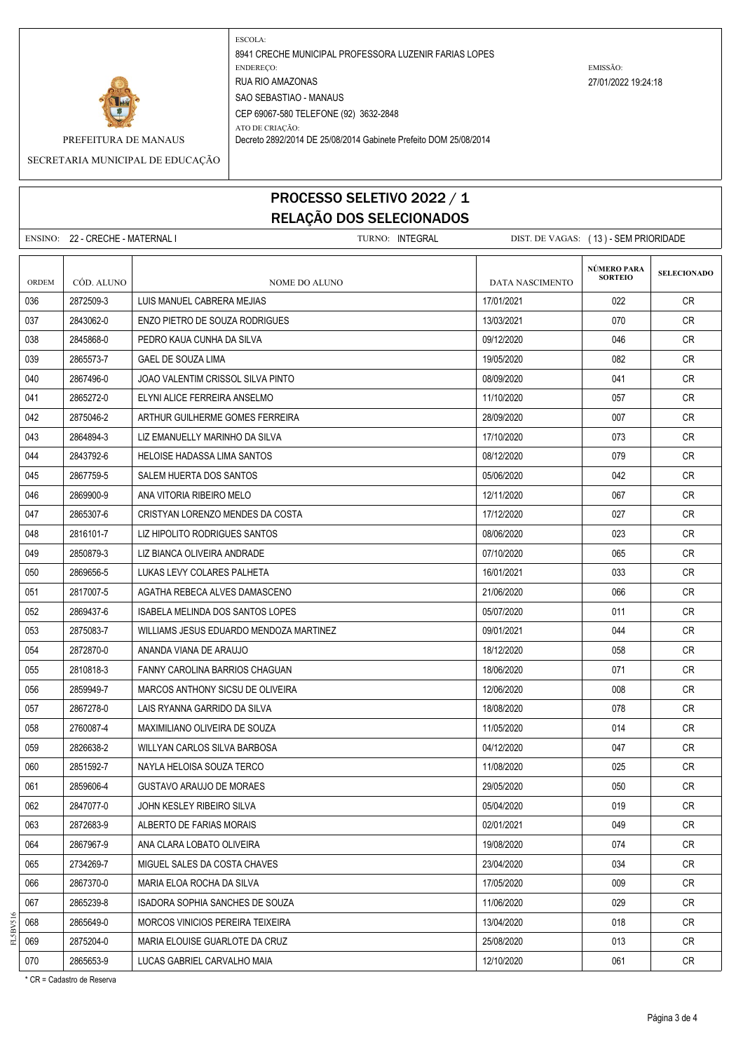

ESCOLA: 8941 CRECHE MUNICIPAL PROFESSORA LUZENIR FARIAS LOPES ENDEREÇO: EMISSÃO: RUA RIO AMAZONAS 27/01/2022 19:24:18 SAO SEBASTIAO - MANAUS CEP 69067-580 TELEFONE (92) 3632-2848

ATO DE CRIAÇÃO:

PREFEITURA DE MANAUS Decreto 2892/2014 DE 25/08/2014 Gabinete Prefeito DOM 25/08/2014

SECRETARIA MUNICIPAL DE EDUCAÇÃO

## PROCESSO SELETIVO 2022 / 1 RELAÇÃO DOS SELECIONADOS

ENSINO: 22 - CRECHE - MATERNAL I TURNO: INTEGRAL DIST. DE VAGAS: ( 13 ) - SEM PRIORIDADE **SELECIONADO** ORDEM CÓD. ALUNO **NOME DO ALUNO** NOME DO ALUNO DATA NASCIMENTO 036 2872509-3 LUIS MANUEL CABRERA MEJIAS 17/01/2021 CR 037 2843062-0 ENZO PIETRO DE SOUZA RODRIGUES 13/03/2021 070 CR 038 2845868-0 PEDRO KAUA CUNHA DA SILVA DENDENTAL DENDENDEN DENDENDEN 199/12/2020 1999 1996 DR CR 039 2865573-7 GAEL DE SOUZA LIMA 1979 - 1970 - 1970 - 19705/2020 1982 - 1982 CR 040 2867496-0 JOAO VALENTIM CRISSOL SILVA PINTO 08/09/2020 041 CR 041 2865272-0 ELYNI ALICE FERREIRA ANSELMO 11/10/2020 11/10/2020 20 057 CR 042 2875046-2 ARTHUR GUILHERME GOMES FERREIRA 28/09/2020 200 007 CR 043 2864894-3 LIZ EMANUELLY MARINHO DA SILVA 17 DA 2000 LIZ 17/10/2020 2010 LIZ 17/3 CR 044 2843792-6 HELOISE HADASSA LIMA SANTOS 08/12/2020 CR 045 2867759-5 SALEM HUERTA DOS SANTOS SANTOS DE LOS DE LOS 105/06/2020 105/06/2020 200 042 CR 046 2869900-9 ANA VITORIA RIBEIRO MELO 12/11/2020 12/11/2020 067 CR 047 2865307-6 CRISTYAN LORENZO MENDES DA COSTA 17/12/2020 11/12/2020 2001 027 CR 048 2816101-7 LIZ HIPOLITO RODRIGUES SANTOS 08/06/2020 CR 049 2850879-3 LIZ BIANCA OLIVEIRA ANDRADE 07/10/2020 065 CR 050 2869656-5 LUKAS LEVY COLARES PALHETA 16/01/2021 | 16/01/2021 | 033 CR 051 2817007-5 AGATHA REBECA ALVES DAMASCENO 21/06/2020 CR 052 2869437-6 ISABELA MELINDA DOS SANTOS LOPES 05:000 | 05/07/2020 | 011 | CR 053 2875083-7 WILLIAMS JESUS EDUARDO MENDOZA MARTINEZ 09/01/2021 CR 054 2872870-0 ANANDA VIANA DE ARAUJO 18/12/20 18/12/2020 18/12/2020 958 CR 055 2810818-3 FANNY CAROLINA BARRIOS CHAGUAN 18/06/2020 18/06/2020 18/06/2020 201 CR 056 2859949-7 MARCOS ANTHONY SICSU DE OLIVEIRA 12/06/2020 CR 057 2867278-0 LAIS RYANNA GARRIDO DA SILVA 18/08/2020 | 078 | CR 058 2760087-4 MAXIMILIANO OLIVEIRA DE SOUZA 11/05/2020 CR 059 2826638-2 WILLYAN CARLOS SILVA BARBOSA 04/12/2020 CR 060 | 2851592-7 | NAYLA HELOISA SOUZA TERCO | 11/08/2020 | 025 | CR 061 2859606-4 GUSTAVO ARAUJO DE MORAES 29/05/2020 CR 062 2847077-0 JOHN KESLEY RIBEIRO SILVA 05/04/2020 019 CR 063 2872683-9 ALBERTO DE FARIAS MORAIS 02/01/2021 049 CR 064 2867967-9 ANA CLARA LOBATO OLIVEIRA 19/08/2020 CR 065 2734269-7 MIGUEL SALES DA COSTA CHAVES 23/04/2020 CR 066 2867370-0 | MARIA ELOA ROCHA DA SILVA 17/05/2020 | 17/05/2020 | 17/05/2020 | 17/05/2020 | CR 067 2865239-8 ISADORA SOPHIA SANCHES DE SOUZA 1 1/06/2020 CR 068 2865649-0 MORCOS VINICIOS PEREIRA TEIXEIRA 13/04/2020 | 018 CR 069 2875204-0 MARIA ELOUISE GUARLOTE DA CRUZ 2000 2000 - 25/08/2020 - 25/08/2020 013 CR 070 2865653-9 LUCAS GABRIEL CARVALHO MAIA 120000 12/10/2020 200 2865653-9 LOCA **NÚMERO PARA SORTEIO**

\* CR = Cadastro de Reserva